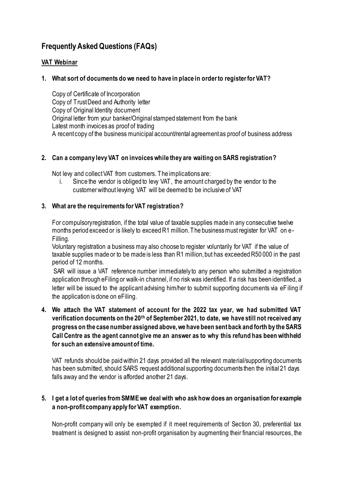# **Frequently Asked Questions (FAQs)**

## **VAT Webinar**

# **1. What sort of documents do we need to have in place in order to register for VAT?**

Copy of Certificate of Incorporation Copy of Trust Deed and Authority letter Copy of Original Identity document Original letter from your banker/Original stamped statement from the bank Latest month invoices as proof of trading A recent copy of the business municipal account/rental agreement as proof of business address

## **2. Can a company levy VAT on invoices while they are waiting on SARS registration?**

Not lew and collect VAT from customers. The implications are:

i. Since the vendor is obliged to levy VAT, the amount charged by the vendor to the customer without lewing VAT will be deemed to be inclusive of VAT

## **3. What are the requirements for VAT registration?**

For compulsory registration, if the total value of taxable supplies made in any consecutive twelve months period exceed or is likely to exceed R1 million. The business must register for VAT on e-Filling.

Voluntary registration a business may also choose to register voluntarily for VAT if the value of taxable supplies made or to be made is less than R1 million, but has exceeded R50 000 in the past period of 12 months.

SAR will issue a VAT reference number immediately to any person who submitted a registration application through eFiling or walk-in channel, if no risk was identified. If a risk has been identified, a letter will be issued to the applicant advising him/her to submit supporting documents via eFiling if the application is done on eFiling.

**4. We attach the VAT statement of account for the 2022 tax year, we had submitted VAT verification documents on the 20th of September 2021, to date, we have still not received any progress on the case number assigned above, we have been sent back and forth by the SARS Call Centre as the agent cannot give me an answer as to why this refund has been withheld for such an extensive amount of time.**

VAT refunds should be paid within 21 days provided all the relevant material/supporting documents has been submitted, should SARS request additional supporting documents then the initial 21 days falls away and the vendor is afforded another 21 days.

## **5. I get a lot of queries from SMME we deal with who ask how does an organisation for example a non-profit company apply for VAT exemption.**

Non-profit company will only be exempted if it meet requirements of Section 30, preferential tax treatment is designed to assist non-profit organisation by augmenting their financial resources, the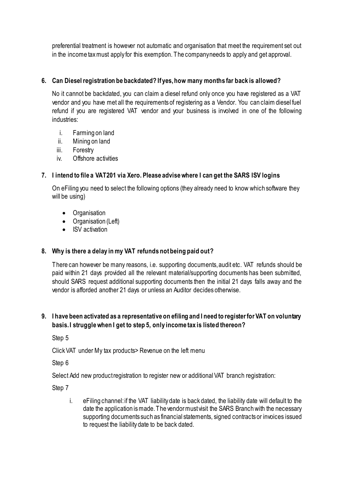preferential treatment is however not automatic and organisation that meet the requirement set out in the income tax must apply for this exemption. The company needs to apply and get approval.

# **6. Can Diesel registration be backdated? If yes, how many months far back is allowed?**

No it cannot be backdated, you can claim a diesel refund only once you have registered as a VAT vendor and you have met all the requirements of registering as a Vendor. You can claim diesel fuel refund if you are registered VAT vendor and your business is involved in one of the following industries:

- i. Farming on land
- ii. Mining on land
- iii. Forestry
- iv. Offshore activities

## **7. I intend to file a VAT201 via Xero. Please advise where I can get the SARS ISV logins**

On eFiling you need to select the following options (they already need to know which software they will be using)

- Organisation
- Organisation (Left)
- ISV activation

## **8. Why is there a delay in my VAT refunds not being paid out?**

There can however be many reasons, i.e. supporting documents, audit etc. VAT refunds should be paid within 21 days provided all the relevant material/supporting documents has been submitted, should SARS request additional supporting documents then the initial 21 days falls away and the vendor is afforded another 21 days or unless an Auditor decides otherwise.

## **9. I have been activated as a representative on efiling and I need to register for VAT on voluntary basis. I struggle when I get to step 5, only income tax is listed thereon?**

Step 5

Click VAT under My tax products> Revenue on the left menu

Step 6

Select Add new product registration to register new or additional VAT branch registration:

Step 7

i. eFiling channel: if the VAT liability date is back dated, the liability date will default to the date the application is made. The vendor must visit the SARS Branch with the necessary supporting documents such as financial statements, signed contracts or invoices issued to request the liability date to be back dated.